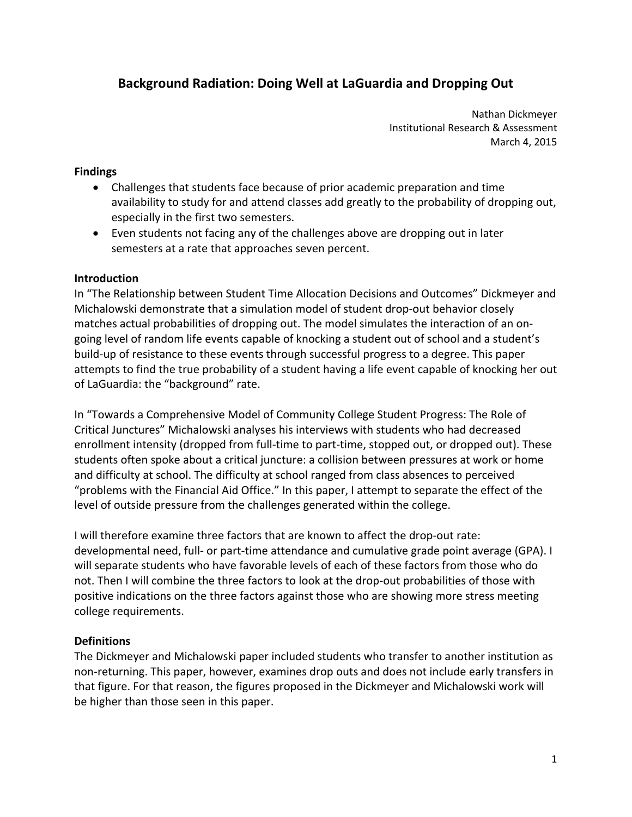# **Background Radiation: Doing Well at LaGuardia and Dropping Out**

 Nathan Dickmeyer Institutional Research & Assessment March 4, 2015

#### **Findings**

- Challenges that students face because of prior academic preparation and time availability to study for and attend classes add greatly to the probability of dropping out, especially in the first two semesters.
- Even students not facing any of the challenges above are dropping out in later semesters at a rate that approaches seven percent.

### **Introduction**

 In "The Relationship between Student Time Allocation Decisions and Outcomes" Dickmeyer and Michalowski demonstrate that a simulation model of student drop‐out behavior closely matches actual probabilities of dropping out. The model simulates the interaction of an on‐ going level of random life events capable of knocking a student out of school and a student's build‐up of resistance to these events through successful progress to a degree. This paper attempts to find the true probability of a student having a life event capable of knocking her out of LaGuardia: the "background" rate.

 In "Towards a Comprehensive Model of Community College Student Progress: The Role of Critical Junctures" Michalowski analyses his interviews with students who had decreased enrollment intensity (dropped from full‐time to part‐time, stopped out, or dropped out). These students often spoke about a critical juncture: a collision between pressures at work or home and difficulty at school. The difficulty at school ranged from class absences to perceived "problems with the Financial Aid Office." In this paper, I attempt to separate the effect of the level of outside pressure from the challenges generated within the college.

 I will therefore examine three factors that are known to affect the drop‐out rate: developmental need, full‐ or part‐time attendance and cumulative grade point average (GPA). I will separate students who have favorable levels of each of these factors from those who do not. Then I will combine the three factors to look at the drop‐out probabilities of those with positive indications on the three factors against those who are showing more stress meeting college requirements.

# **Definitions**

 The Dickmeyer and Michalowski paper included students who transfer to another institution as non‐returning. This paper, however, examines drop outs and does not include early transfers in that figure. For that reason, the figures proposed in the Dickmeyer and Michalowski work will be higher than those seen in this paper.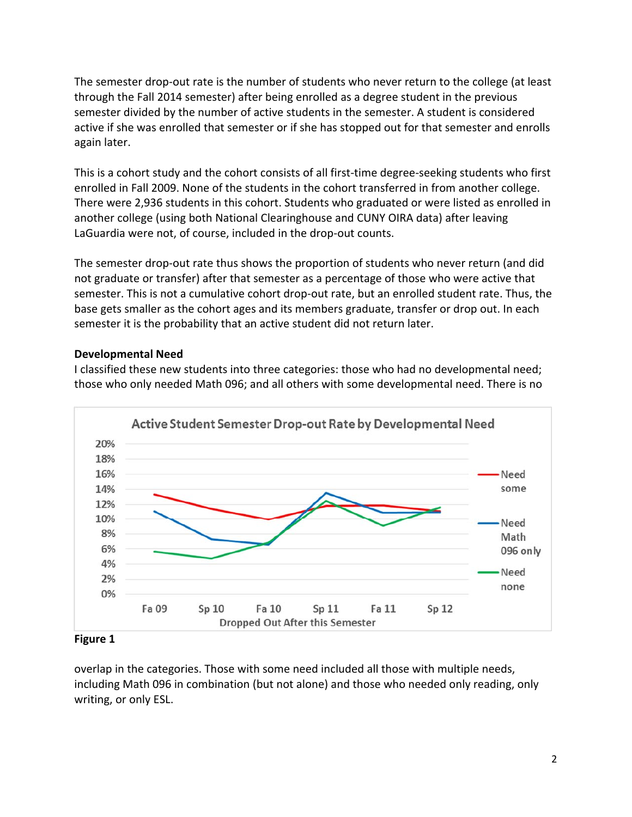The semester drop‐out rate is the number of students who never return to the college (at least through the Fall 2014 semester) after being enrolled as a degree student in the previous semester divided by the number of active students in the semester. A student is considered active if she was enrolled that semester or if she has stopped out for that semester and enrolls again later.

 This is a cohort study and the cohort consists of all first‐time degree‐seeking students who first enrolled in Fall 2009. None of the students in the cohort transferred in from another college. There were 2,936 students in this cohort. Students who graduated or were listed as enrolled in another college (using both National Clearinghouse and CUNY OIRA data) after leaving LaGuardia were not, of course, included in the drop‐out counts.

 The semester drop‐out rate thus shows the proportion of students who never return (and did not graduate or transfer) after that semester as a percentage of those who were active that semester. This is not a cumulative cohort drop‐out rate, but an enrolled student rate. Thus, the base gets smaller as the cohort ages and its members graduate, transfer or drop out. In each semester it is the probability that an active student did not return later.

# **Developmental Need**

 I classified these new students into three categories: those who had no developmental need; those who only needed Math 096; and all others with some developmental need. There is no



 **Figure 1**

 overlap in the categories. Those with some need included all those with multiple needs, including Math 096 in combination (but not alone) and those who needed only reading, only writing, or only ESL.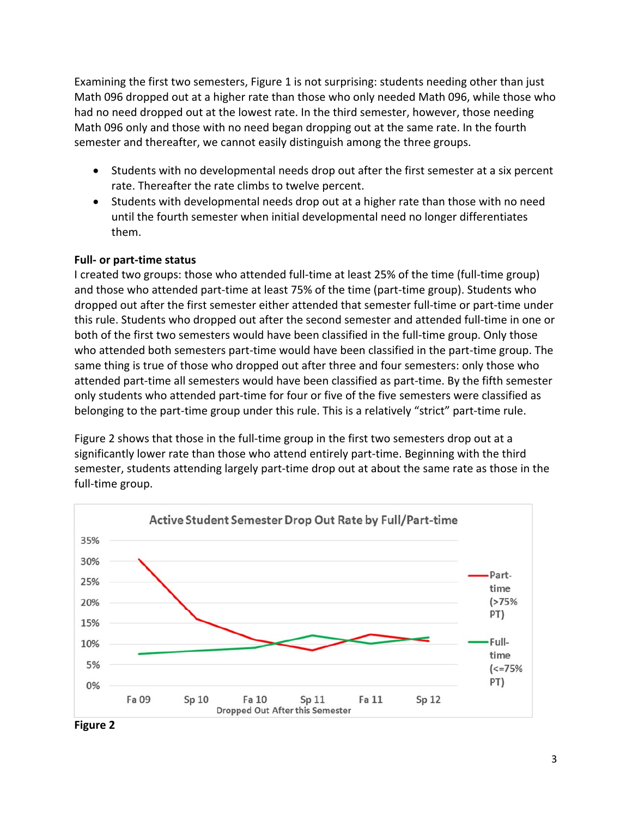Examining the first two semesters, Figure 1 is not surprising: students needing other than just Math 096 dropped out at a higher rate than those who only needed Math 096, while those who had no need dropped out at the lowest rate. In the third semester, however, those needing Math 096 only and those with no need began dropping out at the same rate. In the fourth semester and thereafter, we cannot easily distinguish among the three groups.

- Students with no developmental needs drop out after the first semester at a six percent rate. Thereafter the rate climbs to twelve percent.
- Students with developmental needs drop out at a higher rate than those with no need until the fourth semester when initial developmental need no longer differentiates them.

### **Full‐ or part‐time status**

 I created two groups: those who attended full‐time at least 25% of the time (full‐time group) and those who attended part‐time at least 75% of the time (part‐time group). Students who dropped out after the first semester either attended that semester full‐time or part‐time under this rule. Students who dropped out after the second semester and attended full‐time in one or both of the first two semesters would have been classified in the full‐time group. Only those who attended both semesters part‐time would have been classified in the part‐time group. The same thing is true of those who dropped out after three and four semesters: only those who attended part‐time all semesters would have been classified as part‐time. By the fifth semester only students who attended part‐time for four or five of the five semesters were classified as belonging to the part‐time group under this rule. This is a relatively "strict" part‐time rule.

Figure 2 shows that those in the full-time group in the first two semesters drop out at a significantly lower rate than those who attend entirely part‐time. Beginning with the third semester, students attending largely part‐time drop out at about the same rate as those in the full‐time group.



 **Figure 2**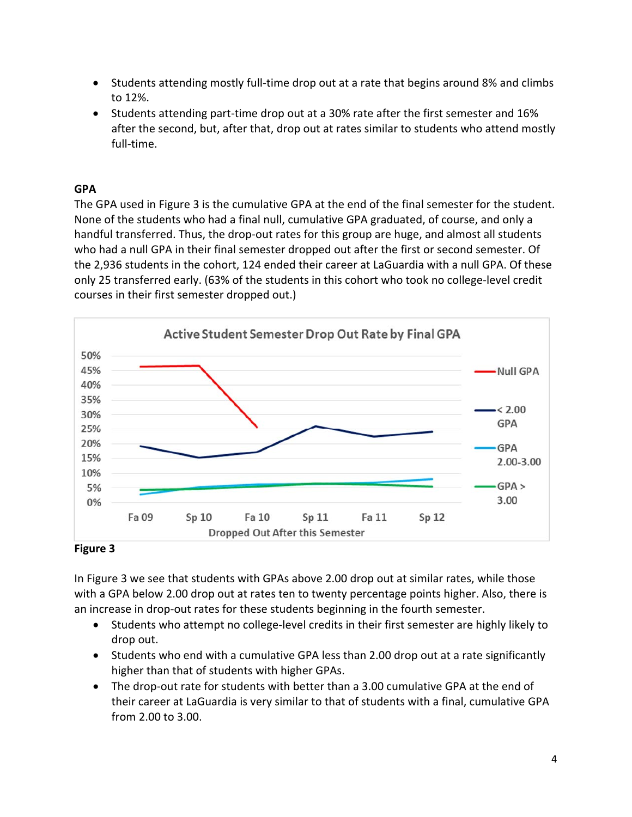- Students attending mostly full-time drop out at a rate that begins around 8% and climbs to 12%.
- after the second, but, after that, drop out at rates similar to students who attend mostly ■ Students attending part-time drop out at a 30% rate after the first semester and 16% full-time.

# **GPA**

 The GPA used in Figure 3 is the cumulative GPA at the end of the final semester for the student. None of the students who had a final null, cumulative GPA graduated, of course, and only a handful transferred. Thus, the drop‐out rates for this group are huge, and almost all students who had a null GPA in their final semester dropped out after the first or second semester. Of the 2,936 students in the cohort, 124 ended their career at LaGuardia with a null GPA. Of these only 25 transferred early. (63% of the students in this cohort who took no college‐level credit courses in their first semester dropped out.)



# **Figure 3**

 In Figure 3 we see that students with GPAs above 2.00 drop out at similar rates, while those with a GPA below 2.00 drop out at rates ten to twenty percentage points higher. Also, there is an increase in drop‐out rates for these students beginning in the fourth semester.

- Students who attempt no college-level credits in their first semester are highly likely to drop out.
- Students who end with a cumulative GPA less than 2.00 drop out at a rate significantly higher than that of students with higher GPAs.
- The drop‐out rate for students with better than a 3.00 cumulative GPA at the end of their career at LaGuardia is very similar to that of students with a final, cumulative GPA from 2.00 to 3.00.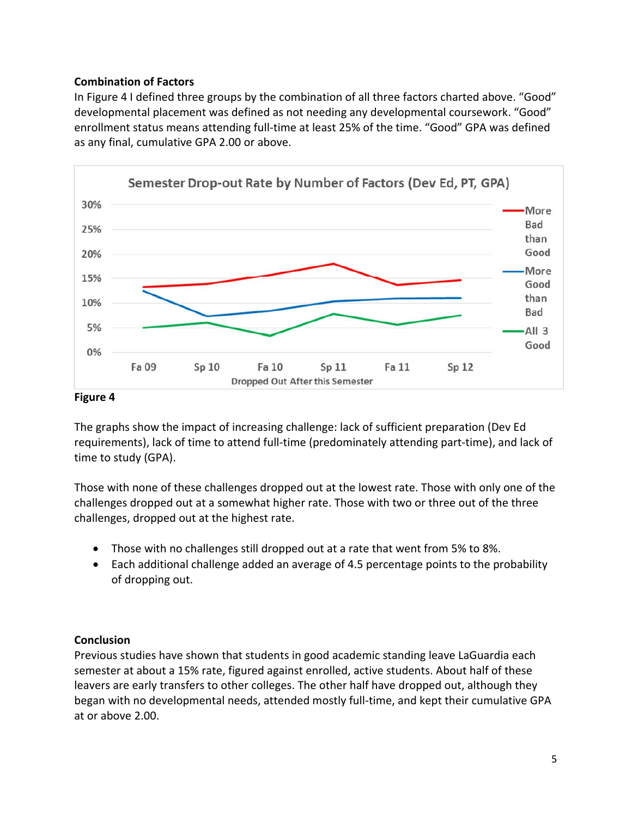# **Combination of Factors**

 In Figure 4 I defined three groups by the combination of all three factors charted above. "Good" developmental placement was defined as not needing any developmental coursework. "Good" enrollment status means attending full‐time at least 25% of the time. "Good" GPA was defined as any final, cumulative GPA 2.00 or above.



#### **Figure 4**

 The graphs show the impact of increasing challenge: lack of sufficient preparation (Dev Ed requirements), lack of time to attend full‐time (predominately attending part‐time), and lack of time to study (GPA).

 Those with none of these challenges dropped out at the lowest rate. Those with only one of the challenges dropped out at a somewhat higher rate. Those with two or three out of the three challenges, dropped out at the highest rate.

- Those with no challenges still dropped out at a rate that went from 5% to 8%.
- Each additional challenge added an average of 4.5 percentage points to the probability of dropping out.

#### **Conclusion**

 Previous studies have shown that students in good academic standing leave LaGuardia each semester at about a 15% rate, figured against enrolled, active students. About half of these leavers are early transfers to other colleges. The other half have dropped out, although they began with no developmental needs, attended mostly full‐time, and kept their cumulative GPA at or above 2.00.